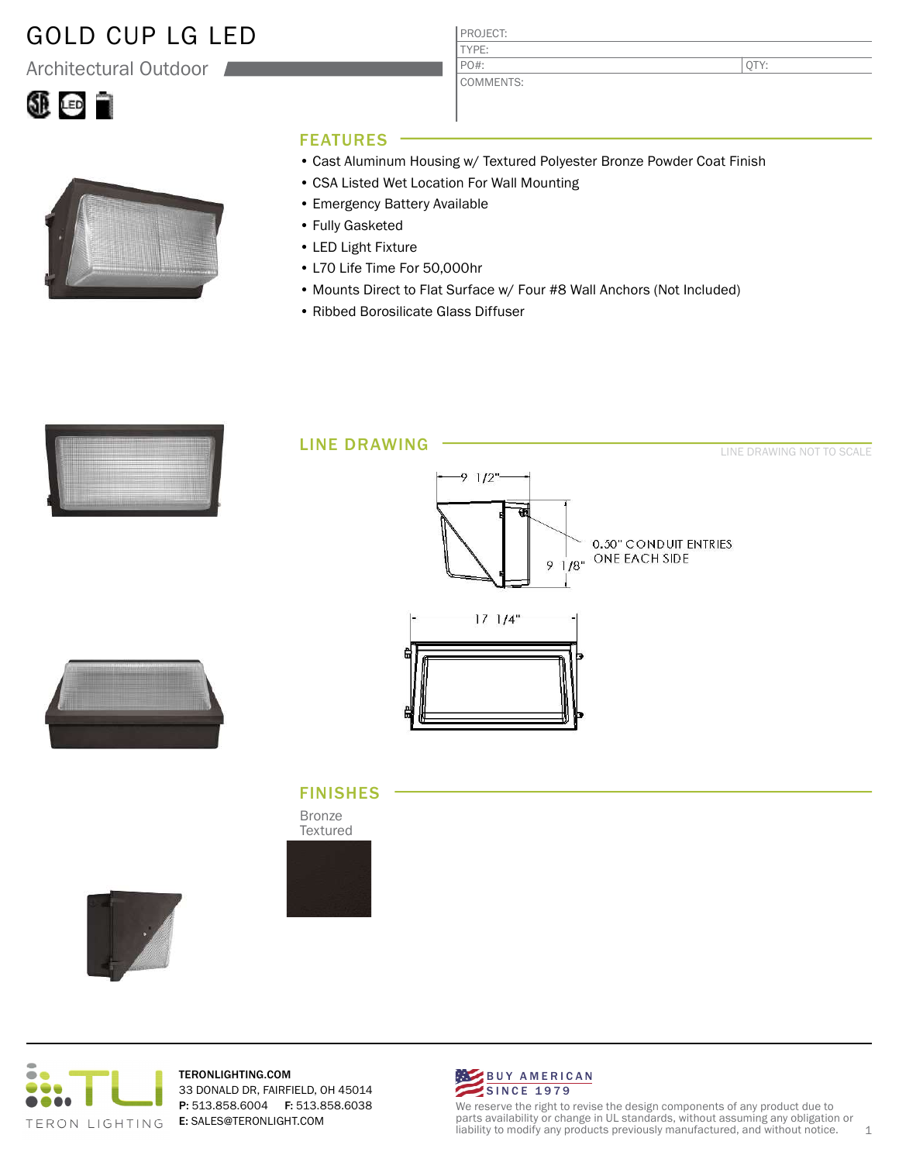## GOLD CUP LG LED

Architectural Outdoor





### FEATURES

• Cast Aluminum Housing w/ Textured Polyester Bronze Powder Coat Finish

QTY:

• CSA Listed Wet Location For Wall Mounting

PROJECT: TYPE:

PO#:

COMMENTS:

- Emergency Battery Available
- Fully Gasketed
- LED Light Fixture
- L70 Life Time For 50,000hr
- Mounts Direct to Flat Surface w/ Four #8 Wall Anchors (Not Included)
- Ribbed Borosilicate Glass Diffuser



### FINISHES

Bronze Textured







TERONLIGHTING.COM 33 DONALD DR, FAIRFIELD, OH 45014 P: 513.858.6004 F: 513.858.6038 E: SALES@TERONLIGHT.COM



We reserve the right to revise the design components of any product due to parts availability or change in UL standards, without assuming any obligation or liability to modify any products previously manufactured, and without notice. 1